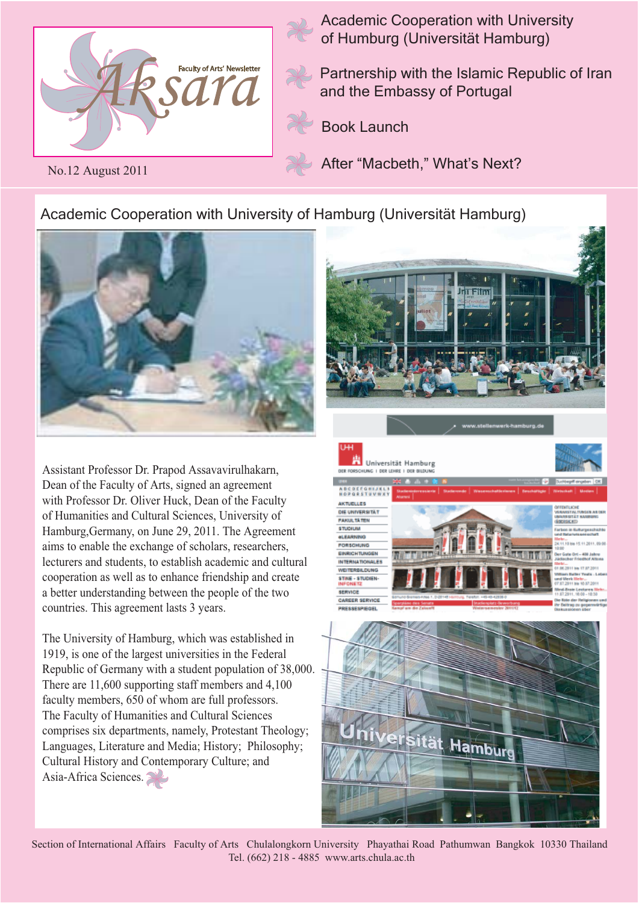

No.12 August 2011

Academic Cooperation with University of Humburg (Universität Hamburg)

Partnership with the Islamic Republic of Iran and the Embassy of Portugal

Book Launch

After "Macbeth," What's Next?

Universität Hamburg

NEW EDISORATIONS 1, DER 18400

Academic Cooperation with University of Hamburg (Universität Hamburg)



Assistant Professor Dr. Prapod Assavavirulhakarn, Dean of the Faculty of Arts, signed an agreement with Professor Dr. Oliver Huck, Dean of the Faculty of Humanities and Cultural Sciences, University of Hamburg,Germany, on June 29, 2011. The Agreement aims to enable the exchange of scholars, researchers, lecturers and students, to establish academic and cultural cooperation as well as to enhance friendship and create a better understanding between the people of the two countries. This agreement lasts 3 years.

The University of Hamburg, which was established in 1919, is one of the largest universities in the Federal Republic of Germany with a student population of 38,000. There are 11,600 supporting staff members and 4,100 faculty members, 650 of whom are full professors. The Faculty of Humanities and Cultural Sciences comprises six departments, namely, Protestant Theology; Languages, Literature and Media; History; Philosophy; Cultural History and Contemporary Culture; and Asia-Africa Sciences.







Section of International Affairs Faculty of Arts Chulalongkorn University Phayathai Road Pathumwan Bangkok 10330 Thailand Tel. (662) 218 - 4885 www.arts.chula.ac.th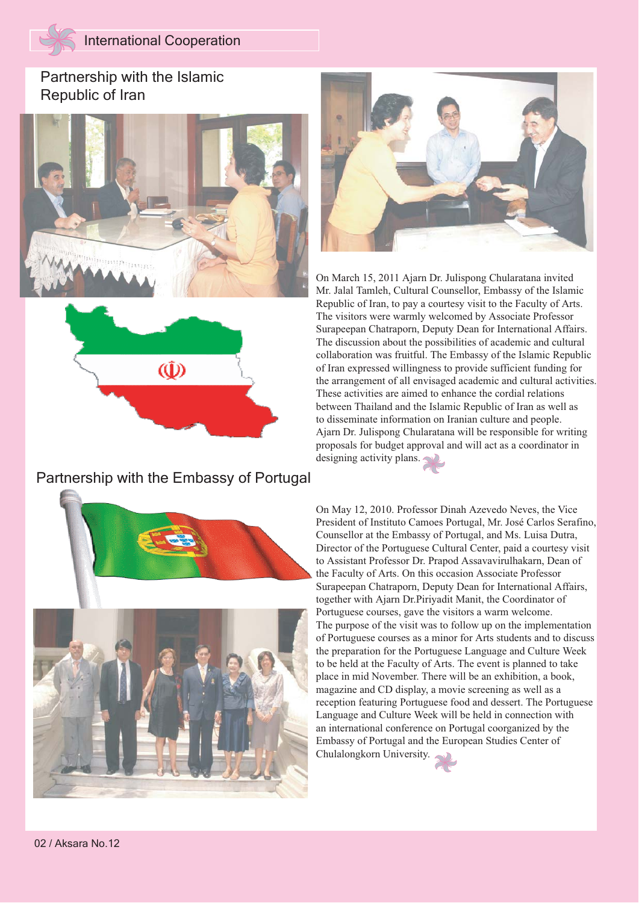## Partnership with the Islamic Republic of Iran





### Partnership with the Embassy of Portugal







On March 15, 2011 Ajarn Dr. Julispong Chularatana invited Mr. Jalal Tamleh, Cultural Counsellor, Embassy of the Islamic Republic of Iran, to pay a courtesy visit to the Faculty of Arts. The visitors were warmly welcomed by Associate Professor Surapeepan Chatraporn, Deputy Dean for International Affairs. The discussion about the possibilities of academic and cultural collaboration was fruitful. The Embassy of the Islamic Republic of Iran expressed willingness to provide sufficient funding for the arrangement of all envisaged academic and cultural activities. These activities are aimed to enhance the cordial relations between Thailand and the Islamic Republic of Iran as well as to disseminate information on Iranian culture and people. Ajarn Dr. Julispong Chularatana will be responsible for writing proposals for budget approval and will act as a coordinator in designing activity plans.

On May 12, 2010. Professor Dinah Azevedo Neves, the Vice President of Instituto Camoes Portugal, Mr. José Carlos Serafino, Counsellor at the Embassy of Portugal, and Ms. Luisa Dutra, Director of the Portuguese Cultural Center, paid a courtesy visit to Assistant Professor Dr. Prapod Assavavirulhakarn, Dean of the Faculty of Arts. On this occasion Associate Professor Surapeepan Chatraporn, Deputy Dean for International Affairs, together with Ajarn Dr.Piriyadit Manit, the Coordinator of Portuguese courses, gave the visitors a warm welcome. The purpose of the visit was to follow up on the implementation of Portuguese courses as a minor for Arts students and to discuss the preparation for the Portuguese Language and Culture Week to be held at the Faculty of Arts. The event is planned to take place in mid November. There will be an exhibition, a book, magazine and CD display, a movie screening as well as a reception featuring Portuguese food and dessert. The Portuguese Language and Culture Week will be held in connection with an international conference on Portugal coorganized by the Embassy of Portugal and the European Studies Center of Chulalongkorn University.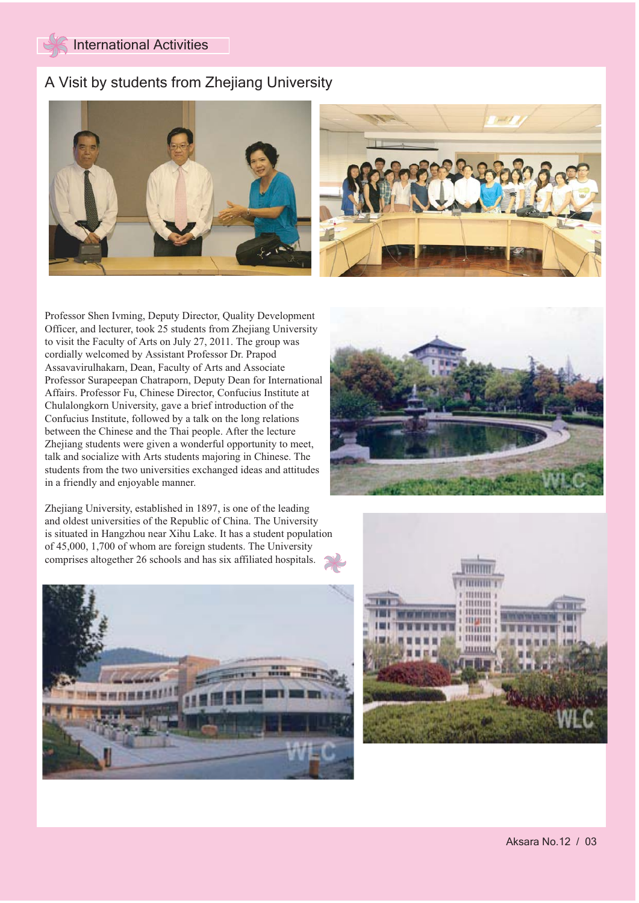## A Visit by students from Zhejiang University



Professor Shen Ivming, Deputy Director, Quality Development Officer, and lecturer, took 25 students from Zhejiang University to visit the Faculty of Arts on July 27, 2011. The group was cordially welcomed by Assistant Professor Dr. Prapod Assavavirulhakarn, Dean, Faculty of Arts and Associate Professor Surapeepan Chatraporn, Deputy Dean for International Affairs. Professor Fu, Chinese Director, Confucius Institute at Chulalongkorn University, gave a brief introduction of the Confucius Institute, followed by a talk on the long relations between the Chinese and the Thai people. After the lecture Zhejiang students were given a wonderful opportunity to meet, talk and socialize with Arts students majoring in Chinese. The students from the two universities exchanged ideas and attitudes in a friendly and enjoyable manner.

Zhejiang University, established in 1897, is one of the leading and oldest universities of the Republic of China. The University is situated in Hangzhou near Xihu Lake. It has a student population of 45,000, 1,700 of whom are foreign students. The University comprises altogether 26 schools and has six affiliated hospitals.





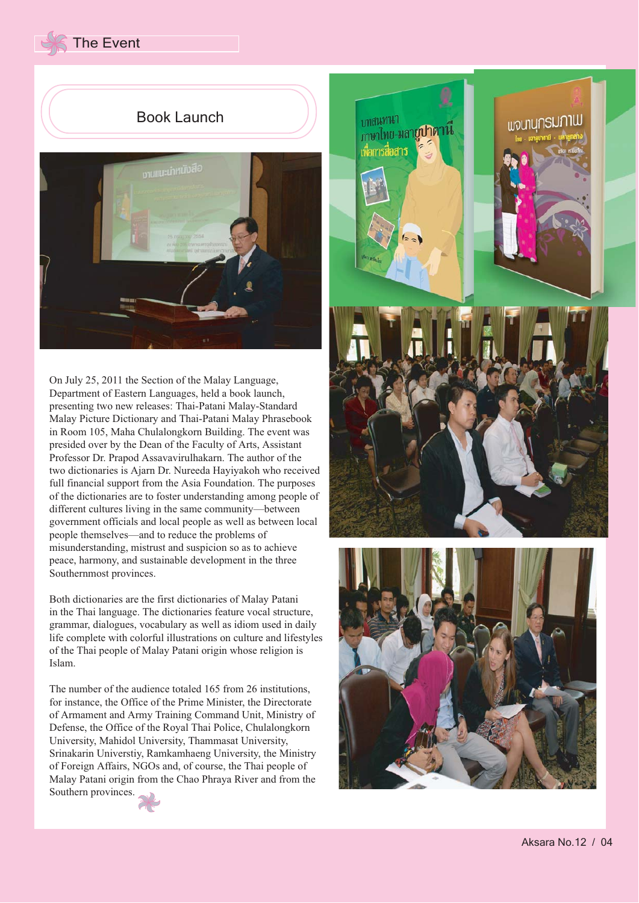The Event

## Book Launch



On July 25, 2011 the Section of the Malay Language, Department of Eastern Languages, held a book launch, presenting two new releases: Thai-Patani Malay-Standard Malay Picture Dictionary and Thai-Patani Malay Phrasebook in Room 105, Maha Chulalongkorn Building. The event was presided over by the Dean of the Faculty of Arts, Assistant Professor Dr. Prapod Assavavirulhakarn. The author of the two dictionaries is Ajarn Dr. Nureeda Hayiyakoh who received full financial support from the Asia Foundation. The purposes of the dictionaries are to foster understanding among people of different cultures living in the same community—between government officials and local people as well as between local people themselves—and to reduce the problems of misunderstanding, mistrust and suspicion so as to achieve peace, harmony, and sustainable development in the three Southernmost provinces.

Both dictionaries are the first dictionaries of Malay Patani in the Thai language. The dictionaries feature vocal structure, grammar, dialogues, vocabulary as well as idiom used in daily life complete with colorful illustrations on culture and lifestyles of the Thai people of Malay Patani origin whose religion is Islam.

The number of the audience totaled 165 from 26 institutions, for instance, the Office of the Prime Minister, the Directorate of Armament and Army Training Command Unit, Ministry of Defense, the Office of the Royal Thai Police, Chulalongkorn University, Mahidol University, Thammasat University, Srinakarin Universtiy, Ramkamhaeng University, the Ministry of Foreign Affairs, NGOs and, of course, the Thai people of Malay Patani origin from the Chao Phraya River and from the Southern provinces.



บทสนทนา ้<sub>ภาษาไทย-มลา**ยูปาตานี**</sub> เพื่อการสื่อสาร







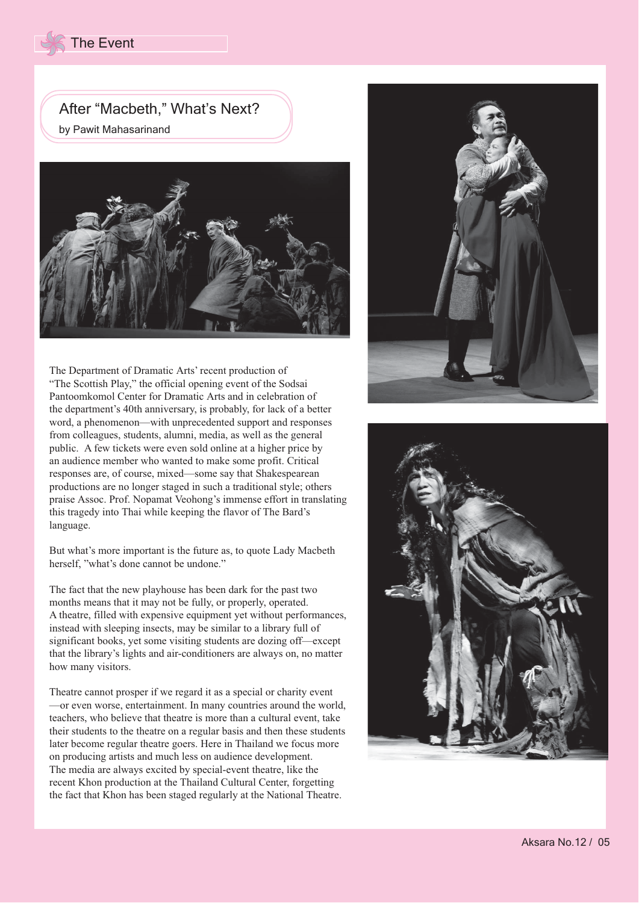# After "Macbeth," What's Next?

by Pawit Mahasarinand



The Department of Dramatic Arts' recent production of "The Scottish Play," the official opening event of the Sodsai Pantoomkomol Center for Dramatic Arts and in celebration of the department's 40th anniversary, is probably, for lack of a better word, a phenomenon—with unprecedented support and responses from colleagues, students, alumni, media, as well as the general public. A few tickets were even sold online at a higher price by an audience member who wanted to make some profit. Critical responses are, of course, mixed—some say that Shakespearean productions are no longer staged in such a traditional style; others praise Assoc. Prof. Nopamat Veohong's immense effort in translating this tragedy into Thai while keeping the flavor of The Bard's language.

But what's more important is the future as, to quote Lady Macbeth herself, "what's done cannot be undone."

The fact that the new playhouse has been dark for the past two months means that it may not be fully, or properly, operated. A theatre, filled with expensive equipment yet without performances, instead with sleeping insects, may be similar to a library full of significant books, yet some visiting students are dozing off—except that the library's lights and air-conditioners are always on, no matter how many visitors.

Theatre cannot prosper if we regard it as a special or charity event —or even worse, entertainment. In many countries around the world, teachers, who believe that theatre is more than a cultural event, take their students to the theatre on a regular basis and then these students later become regular theatre goers. Here in Thailand we focus more on producing artists and much less on audience development. The media are always excited by special-event theatre, like the recent Khon production at the Thailand Cultural Center, forgetting the fact that Khon has been staged regularly at the National Theatre.